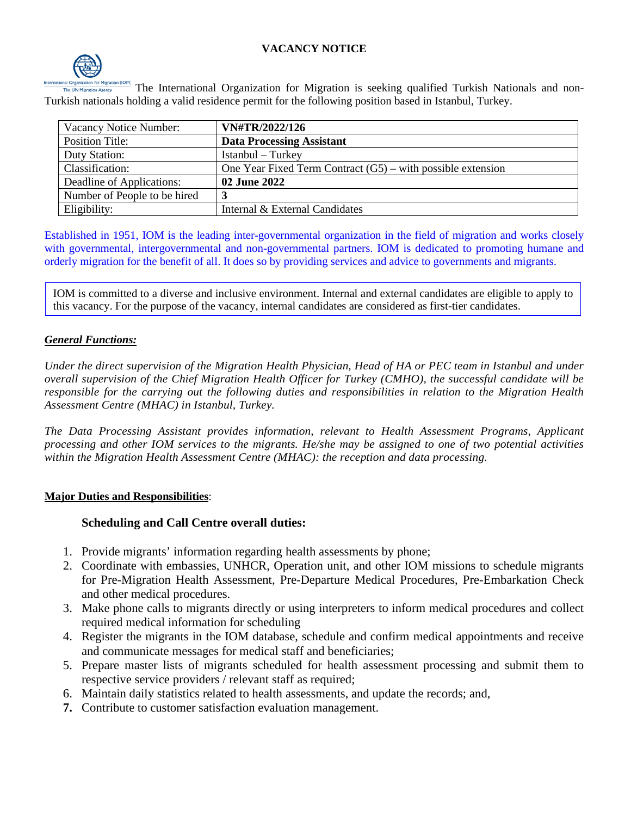### **VACANCY NOTICE**



The International Organization for Migration is seeking qualified Turkish Nationals and non-Turkish nationals holding a valid residence permit for the following position based in Istanbul, Turkey.

| Vacancy Notice Number:       | VN#TR/2022/126                                                |
|------------------------------|---------------------------------------------------------------|
| <b>Position Title:</b>       | <b>Data Processing Assistant</b>                              |
| Duty Station:                | Istanbul – Turkey                                             |
| Classification:              | One Year Fixed Term Contract $(G5)$ – with possible extension |
| Deadline of Applications:    | 02 June 2022                                                  |
| Number of People to be hired |                                                               |
| Eligibility:                 | Internal & External Candidates                                |

Established in 1951, IOM is the leading inter-governmental organization in the field of migration and works closely with governmental, intergovernmental and non-governmental partners. IOM is dedicated to promoting humane and orderly migration for the benefit of all. It does so by providing services and advice to governments and migrants.

IOM is committed to a diverse and inclusive environment. Internal and external candidates are eligible to apply to this vacancy. For the purpose of the vacancy, internal candidates are considered as first-tier candidates.

### *General Functions:*

*Under the direct supervision of the Migration Health Physician, Head of HA or PEC team in Istanbul and under overall supervision of the Chief Migration Health Officer for Turkey (CMHO), the successful candidate will be responsible for the carrying out the following duties and responsibilities in relation to the Migration Health Assessment Centre (MHAC) in Istanbul, Turkey.*

*The Data Processing Assistant provides information, relevant to Health Assessment Programs, Applicant processing and other IOM services to the migrants. He/she may be assigned to one of two potential activities within the Migration Health Assessment Centre (MHAC): the reception and data processing.*

### **Major Duties and Responsibilities**:

### **Scheduling and Call Centre overall duties:**

- 1. Provide migrants' information regarding health assessments by phone;
- 2. Coordinate with embassies, UNHCR, Operation unit, and other IOM missions to schedule migrants for Pre-Migration Health Assessment, Pre-Departure Medical Procedures, Pre-Embarkation Check and other medical procedures.
- 3. Make phone calls to migrants directly or using interpreters to inform medical procedures and collect required medical information for scheduling
- 4. Register the migrants in the IOM database, schedule and confirm medical appointments and receive and communicate messages for medical staff and beneficiaries;
- 5. Prepare master lists of migrants scheduled for health assessment processing and submit them to respective service providers / relevant staff as required;
- 6. Maintain daily statistics related to health assessments, and update the records; and,
- **7.** Contribute to customer satisfaction evaluation management.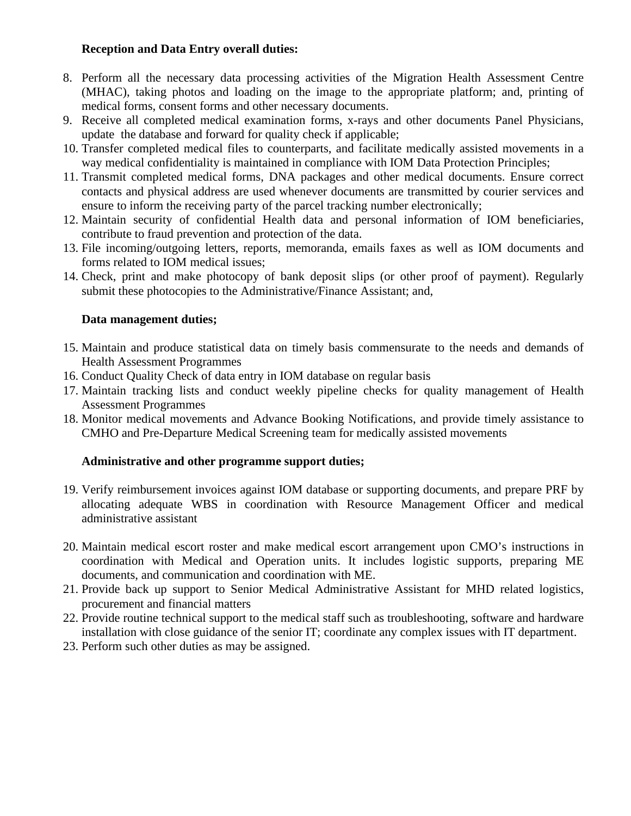### **Reception and Data Entry overall duties:**

- 8. Perform all the necessary data processing activities of the Migration Health Assessment Centre (MHAC), taking photos and loading on the image to the appropriate platform; and, printing of medical forms, consent forms and other necessary documents.
- 9. Receive all completed medical examination forms, x-rays and other documents Panel Physicians, update the database and forward for quality check if applicable;
- 10. Transfer completed medical files to counterparts, and facilitate medically assisted movements in a way medical confidentiality is maintained in compliance with IOM Data Protection Principles;
- 11. Transmit completed medical forms, DNA packages and other medical documents. Ensure correct contacts and physical address are used whenever documents are transmitted by courier services and ensure to inform the receiving party of the parcel tracking number electronically;
- 12. Maintain security of confidential Health data and personal information of IOM beneficiaries, contribute to fraud prevention and protection of the data.
- 13. File incoming/outgoing letters, reports, memoranda, emails faxes as well as IOM documents and forms related to IOM medical issues;
- 14. Check, print and make photocopy of bank deposit slips (or other proof of payment). Regularly submit these photocopies to the Administrative/Finance Assistant; and,

### **Data management duties;**

- 15. Maintain and produce statistical data on timely basis commensurate to the needs and demands of Health Assessment Programmes
- 16. Conduct Quality Check of data entry in IOM database on regular basis
- 17. Maintain tracking lists and conduct weekly pipeline checks for quality management of Health Assessment Programmes
- 18. Monitor medical movements and Advance Booking Notifications, and provide timely assistance to CMHO and Pre-Departure Medical Screening team for medically assisted movements

### **Administrative and other programme support duties;**

- 19. Verify reimbursement invoices against IOM database or supporting documents, and prepare PRF by allocating adequate WBS in coordination with Resource Management Officer and medical administrative assistant
- 20. Maintain medical escort roster and make medical escort arrangement upon CMO's instructions in coordination with Medical and Operation units. It includes logistic supports, preparing ME documents, and communication and coordination with ME.
- 21. Provide back up support to Senior Medical Administrative Assistant for MHD related logistics, procurement and financial matters
- 22. Provide routine technical support to the medical staff such as troubleshooting, software and hardware installation with close guidance of the senior IT; coordinate any complex issues with IT department.
- 23. Perform such other duties as may be assigned.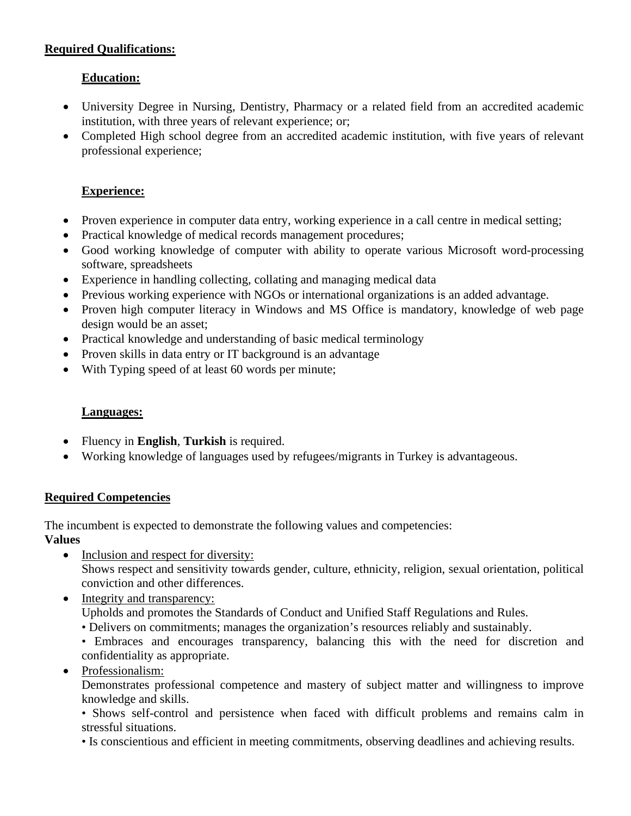## **Required Qualifications:**

# **Education:**

- University Degree in Nursing, Dentistry, Pharmacy or a related field from an accredited academic institution, with three years of relevant experience; or;
- Completed High school degree from an accredited academic institution, with five years of relevant professional experience;

## **Experience:**

- Proven experience in computer data entry, working experience in a call centre in medical setting;
- Practical knowledge of medical records management procedures;
- Good working knowledge of computer with ability to operate various Microsoft word-processing software, spreadsheets
- Experience in handling collecting, collating and managing medical data
- Previous working experience with NGOs or international organizations is an added advantage.
- Proven high computer literacy in Windows and MS Office is mandatory, knowledge of web page design would be an asset;
- Practical knowledge and understanding of basic medical terminology
- Proven skills in data entry or IT background is an advantage
- With Typing speed of at least 60 words per minute;

# **Languages:**

- Fluency in **English**, **Turkish** is required.
- Working knowledge of languages used by refugees/migrants in Turkey is advantageous.

### **Required Competencies**

The incumbent is expected to demonstrate the following values and competencies:

# **Values**

- Inclusion and respect for diversity: Shows respect and sensitivity towards gender, culture, ethnicity, religion, sexual orientation, political conviction and other differences.
- Integrity and transparency:

Upholds and promotes the Standards of Conduct and Unified Staff Regulations and Rules.

- Delivers on commitments; manages the organization's resources reliably and sustainably.
- Embraces and encourages transparency, balancing this with the need for discretion and confidentiality as appropriate.
- Professionalism:

Demonstrates professional competence and mastery of subject matter and willingness to improve knowledge and skills.

• Shows self-control and persistence when faced with difficult problems and remains calm in stressful situations.

• Is conscientious and efficient in meeting commitments, observing deadlines and achieving results.